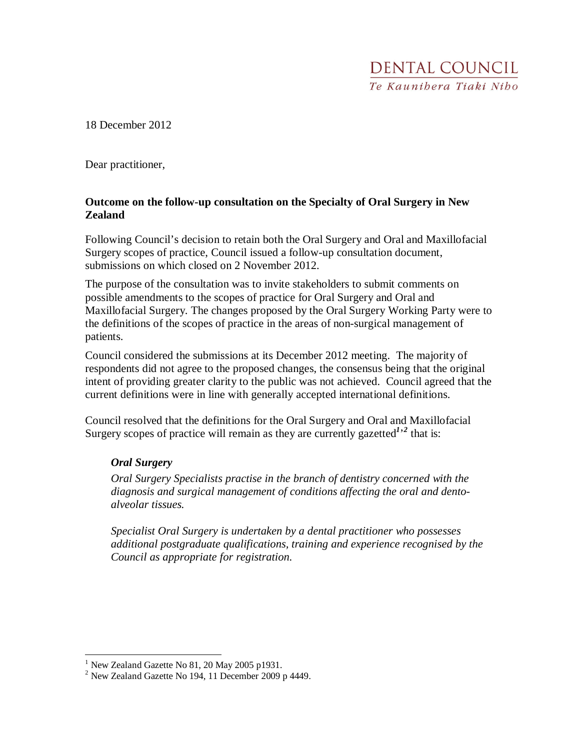## DENTAL COUNCIL Te Kaunibera Tiaki Nibo

18 December 2012

Dear practitioner,

## **Outcome on the follow-up consultation on the Specialty of Oral Surgery in New Zealand**

Following Council's decision to retain both the Oral Surgery and Oral and Maxillofacial Surgery scopes of practice, Council issued a follow-up consultation document, submissions on which closed on 2 November 2012.

The purpose of the consultation was to invite stakeholders to submit comments on possible amendments to the scopes of practice for Oral Surgery and Oral and Maxillofacial Surgery. The changes proposed by the Oral Surgery Working Party were to the definitions of the scopes of practice in the areas of non-surgical management of patients.

Council considered the submissions at its December 2012 meeting. The majority of respondents did not agree to the proposed changes, the consensus being that the original intent of providing greater clarity to the public was not achieved. Council agreed that the current definitions were in line with generally accepted international definitions.

Council resolved that the definitions for the Oral Surgery and Oral and Maxillofacial Surgery scopes of practice will remain as they are currently gazetted<sup> $1,2$ </sup> that is:

## *Oral Surgery*

*Oral Surgery Specialists practise in the branch of dentistry concerned with the diagnosis and surgical management of conditions affecting the oral and dentoalveolar tissues.* 

*Specialist Oral Surgery is undertaken by a dental practitioner who possesses additional postgraduate qualifications, training and experience recognised by the Council as appropriate for registration.* 

 1 New Zealand Gazette No 81, 20 May 2005 p1931.

 $2$  New Zealand Gazette No 194, 11 December 2009 p 4449.